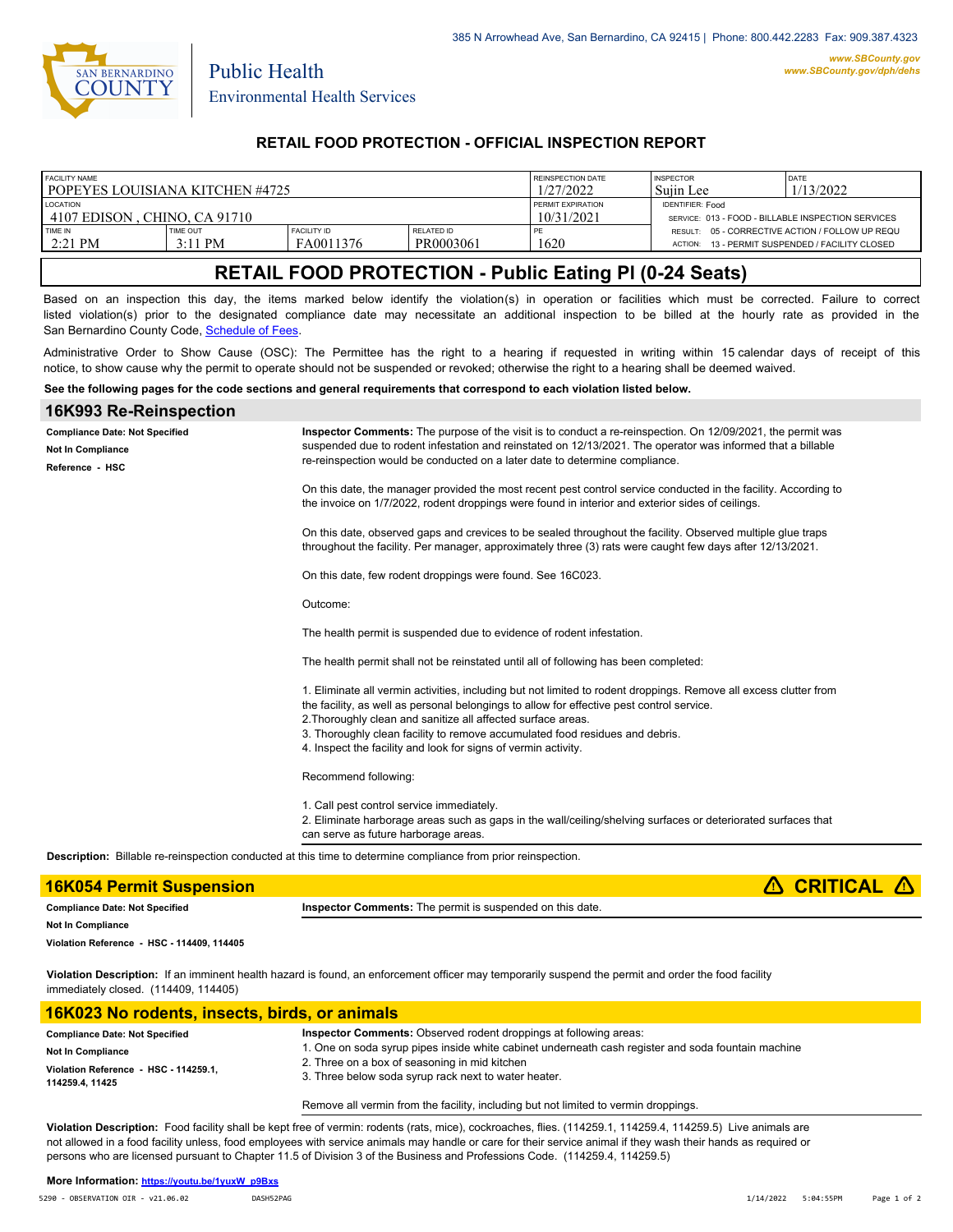

Public Health

## **RETAIL FOOD PROTECTION - OFFICIAL INSPECTION REPORT**

| <b>FACILITY NAME</b>               |                              |                                 | REINSPECTION DATE       | <b>INSPECTOR</b>                                   | DATE                                                       |                                         |
|------------------------------------|------------------------------|---------------------------------|-------------------------|----------------------------------------------------|------------------------------------------------------------|-----------------------------------------|
| l popeyes louisiana kitchen #4725- |                              |                                 | 1/27/2022               | Suiin Lee                                          | 1/13/2022                                                  |                                         |
| <b>LOCATION</b>                    |                              |                                 | PERMIT EXPIRATION       | <b>IDENTIFIER: Food</b>                            |                                                            |                                         |
| 14107 EDISON . CHINO. CA 91710     |                              |                                 | 10/31/2021              | SERVICE: 013 - FOOD - BILLABLE INSPECTION SERVICES |                                                            |                                         |
| TIME IN<br>2:21 PM                 | <b>TIME OUT</b><br>$3:11$ PM | <b>FACILITY ID</b><br>FA0011376 | RELATED ID<br>PR0003061 | 1620                                               | RESULT: 05 - CORRECTIVE ACTION / FOLLOW UP REQU<br>ACTION: | 13 - PERMIT SUSPENDED / FACILITY CLOSED |

# **RETAIL FOOD PROTECTION - Public Eating Pl (0-24 Seats)**

Based on an inspection this day, the items marked below identify the violation(s) in operation or facilities which must be corrected. Failure to correct listed violation(s) prior to the designated compliance date may necessitate an additional inspection to be billed at the hourly rate as provided in the San Bernardino County Code, Schedule of Fees

Administrative Order to Show Cause (OSC): The Permittee has the right to a hearing if requested in writing within 15 calendar days of receipt of this notice, to show cause why the permit to operate should not be suspended or revoked; otherwise the right to a hearing shall be deemed waived.

### **See the following pages for the code sections and general requirements that correspond to each violation listed below.**

| 16K993 Re-Reinspection                                                               |                                                                                                                                                                                                                                                                                                                                                                                                                                  |
|--------------------------------------------------------------------------------------|----------------------------------------------------------------------------------------------------------------------------------------------------------------------------------------------------------------------------------------------------------------------------------------------------------------------------------------------------------------------------------------------------------------------------------|
| <b>Compliance Date: Not Specified</b><br><b>Not In Compliance</b><br>Reference - HSC | Inspector Comments: The purpose of the visit is to conduct a re-reinspection. On 12/09/2021, the permit was<br>suspended due to rodent infestation and reinstated on 12/13/2021. The operator was informed that a billable<br>re-reinspection would be conducted on a later date to determine compliance.                                                                                                                        |
|                                                                                      | On this date, the manager provided the most recent pest control service conducted in the facility. According to<br>the invoice on 1/7/2022, rodent droppings were found in interior and exterior sides of ceilings.                                                                                                                                                                                                              |
|                                                                                      | On this date, observed gaps and crevices to be sealed throughout the facility. Observed multiple glue traps<br>throughout the facility. Per manager, approximately three (3) rats were caught few days after 12/13/2021.                                                                                                                                                                                                         |
|                                                                                      | On this date, few rodent droppings were found. See 16C023.                                                                                                                                                                                                                                                                                                                                                                       |
|                                                                                      | Outcome:                                                                                                                                                                                                                                                                                                                                                                                                                         |
|                                                                                      | The health permit is suspended due to evidence of rodent infestation.                                                                                                                                                                                                                                                                                                                                                            |
|                                                                                      | The health permit shall not be reinstated until all of following has been completed:                                                                                                                                                                                                                                                                                                                                             |
|                                                                                      | 1. Eliminate all vermin activities, including but not limited to rodent droppings. Remove all excess clutter from<br>the facility, as well as personal belongings to allow for effective pest control service.<br>2. Thoroughly clean and sanitize all affected surface areas.<br>3. Thoroughly clean facility to remove accumulated food residues and debris.<br>4. Inspect the facility and look for signs of vermin activity. |
|                                                                                      | Recommend following:                                                                                                                                                                                                                                                                                                                                                                                                             |
|                                                                                      | 1. Call pest control service immediately.<br>2. Eliminate harborage areas such as gaps in the wall/ceiling/shelving surfaces or deteriorated surfaces that<br>can serve as future harborage areas.                                                                                                                                                                                                                               |
|                                                                                      | <b>Description:</b> Billable re-reinspection conducted at this time to determine compliance from prior reinspection.                                                                                                                                                                                                                                                                                                             |
| <b>16K054 Permit Suspension</b>                                                      | <b>CRITICAL</b>                                                                                                                                                                                                                                                                                                                                                                                                                  |

| <b>16K054 Permit Suspension</b>            |                                                                  | $\triangle$ CRITICAL $\triangle$ |
|--------------------------------------------|------------------------------------------------------------------|----------------------------------|
| <b>Compliance Date: Not Specified</b>      | <b>Inspector Comments:</b> The permit is suspended on this date. |                                  |
| <b>Not In Compliance</b>                   |                                                                  |                                  |
| Violation Reference - HSC - 114409, 114405 |                                                                  |                                  |
|                                            |                                                                  |                                  |

**Violation Description:** If an imminent health hazard is found, an enforcement officer may temporarily suspend the permit and order the food facility immediately closed. (114409, 114405)

### **16K023 No rodents, insects, birds, or animals**

| <b>Compliance Date: Not Specified</b> | <b>Inspector Comments:</b> Observed rodent droppings at following areas:                           |  |
|---------------------------------------|----------------------------------------------------------------------------------------------------|--|
| <b>Not In Compliance</b>              | 1. One on soda syrup pipes inside white cabinet underneath cash register and soda fountain machine |  |
| Violation Reference - HSC - 114259.1. | 2. Three on a box of seasoning in mid kitchen                                                      |  |
| 114259.4, 11425                       | 3. Three below soda syrup rack next to water heater.                                               |  |

### Remove all vermin from the facility, including but not limited to vermin droppings.

**Violation Description:** Food facility shall be kept free of vermin: rodents (rats, mice), cockroaches, flies. (114259.1, 114259.4, 114259.5) Live animals are not allowed in a food facility unless, food employees with service animals may handle or care for their service animal if they wash their hands as required or persons who are licensed pursuant to Chapter 11.5 of Division 3 of the Business and Professions Code. (114259.4, 114259.5)

#### **More Information: [https://youtu.be/1yuxW\\_p9Bxs](https://youtu.be/1yuxW_p9Bxs)**